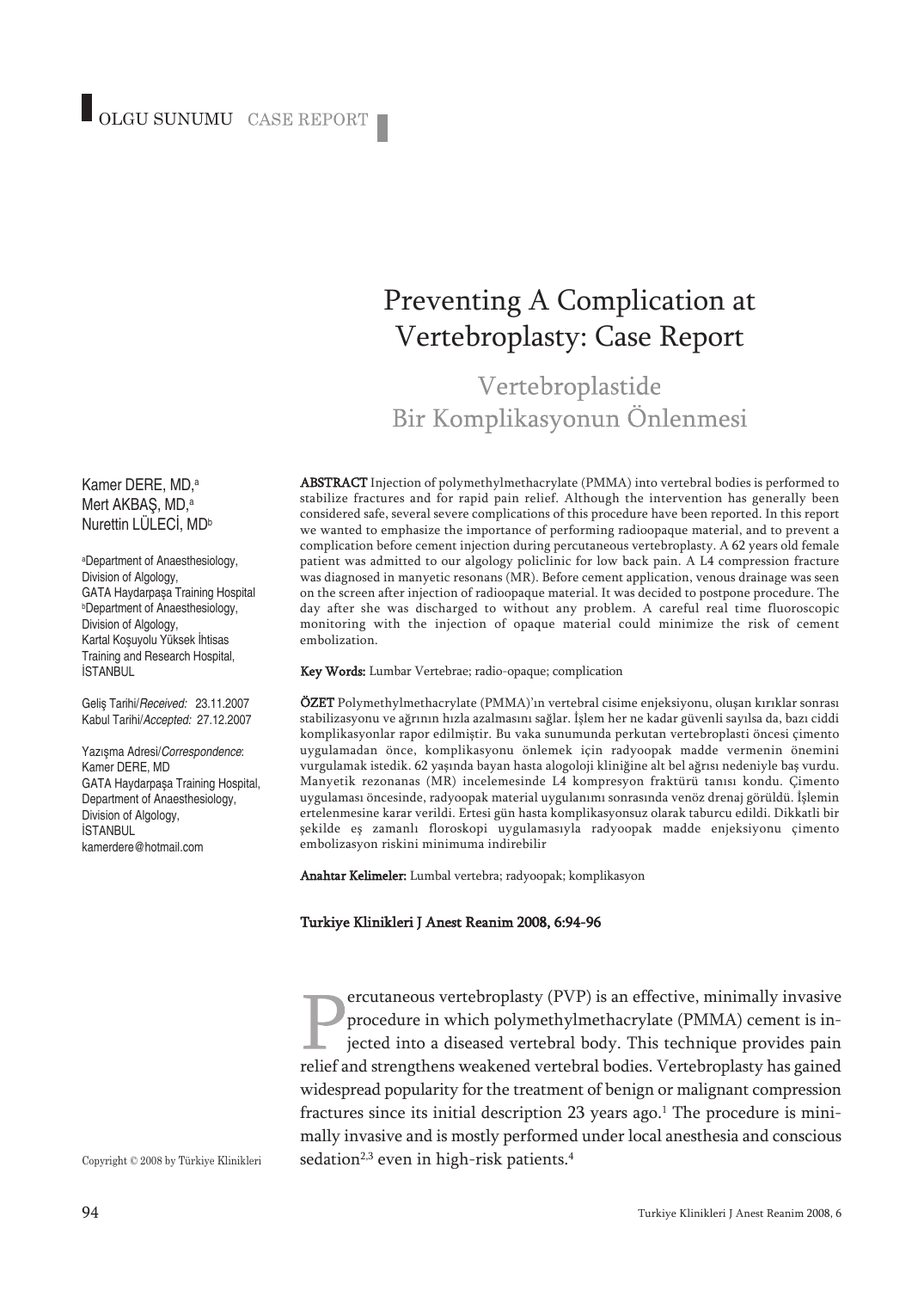# Preventing A Complication at Vertebroplasty: Case Report

Vertebroplastide Bir Komplikasyonun Önlenmesi

ABSTRACT Injection of polymethylmethacrylate (PMMA) into vertebral bodies is performed to stabilize fractures and for rapid pain relief. Although the intervention has generally been considered safe, several severe complications of this procedure have been reported. In this report we wanted to emphasize the importance of performing radioopaque material, and to prevent a complication before cement injection during percutaneous vertebroplasty. A 62 years old female patient was admitted to our algology policlinic for low back pain. A L4 compression fracture was diagnosed in manyetic resonans (MR). Before cement application, venous drainage was seen on the screen after injection of radioopaque material. It was decided to postpone procedure. The day after she was discharged to without any problem. A careful real time fluoroscopic monitoring with the injection of opaque material could minimize the risk of cement embolization.

#### Key Words: Lumbar Vertebrae; radio-opaque; complication

ÖZET Polymethylmethacrylate (PMMA)'ın vertebral cisime enjeksiyonu, oluşan kırıklar sonrası stabilizasyonu ve ağrının hızla azalmasını sağlar. İşlem her ne kadar güvenli sayılsa da, bazı ciddi komplikasyonlar rapor edilmiştir. Bu vaka sunumunda perkutan vertebroplasti öncesi çimento uygulamadan önce, komplikasyonu önlemek için radyoopak madde vermenin önemini vurgulamak istedik. 62 yaşında bayan hasta alogoloji kliniğine alt bel ağrısı nedeniyle baş vurdu. Manyetik rezonanas (MR) incelemesinde L4 kompresyon fraktürü tanısı kondu. Çimento uygulaması öncesinde, radyoopak material uygulanımı sonrasında venöz drenaj görüldü. İşlemin ertelenmesine karar verildi. Ertesi gün hasta komplikasyonsuz olarak taburcu edildi. Dikkatli bir şekilde eş zamanlı floroskopi uygulamasıyla radyoopak madde enjeksiyonu çimento embolizasyon riskini minimuma indirebilir

Anahtar Kelimeler: Lumbal vertebra; radyoopak; komplikasyon

#### Turkiye Klinikleri J Anest Reanim 2008, 6:94-96

ercutaneous vertebroplasty (PVP) is an effective, minimally invasive procedure in which polymethylmethacrylate (PMMA) cement is injected into a diseased vertebral body. This technique provides pain relief and strengthens weakened vertebral bodies. Vertebroplasty has gained widespread popularity for the treatment of benign or malignant compression fractures since its initial description 23 years ago. <sup>1</sup> The procedure is minimally invasive and is mostly performed under local anesthesia and conscious sedation<sup>2,3</sup> even in high-risk patients.<sup>4</sup>

Kamer DERE, MD, a Mert AKBAŞ, MD, a Nurettin LÜLECİ, MDb

a Department of Anaesthesiology, Division of Algology, GATA Haydarpaşa Training Hospital b Department of Anaesthesiology, Division of Algology, Kartal Koşuyolu Yüksek İhtisas Training and Research Hospital, **İSTANBUL** 

Geliş Tarihi/Received: 23.11.2007 Kabul Tarihi/Accepted: 27.12.2007

Yazışma Adresi/Correspondence: Kamer DERE, MD GATA Haydarpaşa Training Hospital, Department of Anaesthesiology, Division of Algology, İSTANBUL kamerdere@hotmail.com

Copyright © 2008 by Türkiye Klinikleri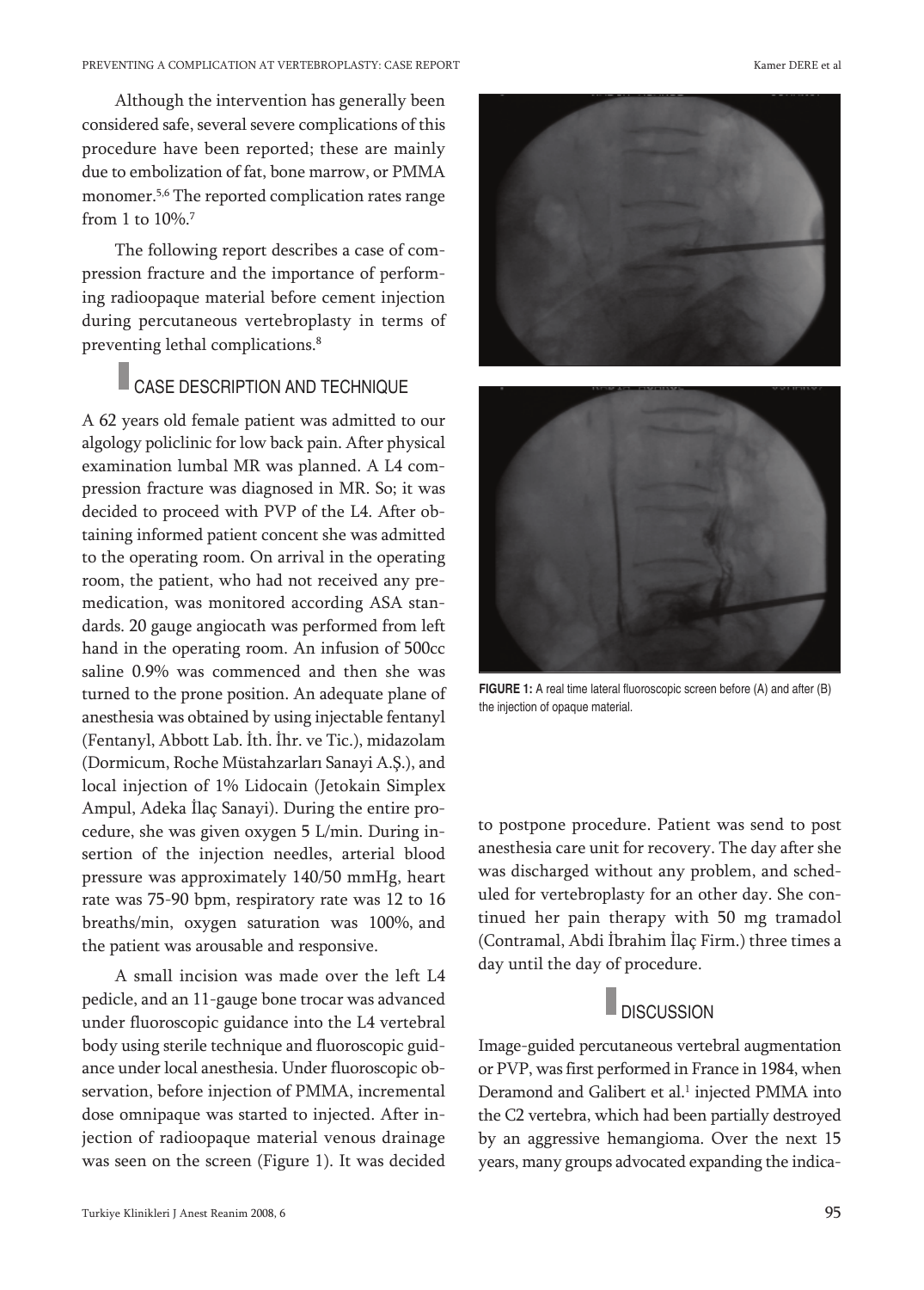Although the intervention has generally been considered safe, several severe complications of this procedure have been reported; these are mainly due to embolization of fat, bone marrow, or PMMA monomer. 5,6 The reported complication rates range from 1 to 10%. 7

The following report describes a case of compression fracture and the importance of performing radioopaque material before cement injection during percutaneous vertebroplasty in terms of preventing lethal complications. 8

### CASE DESCRIPTION AND TECHNIQUE

A 62 years old female patient was admitted to our algology policlinic for low back pain. After physical examination lumbal MR was planned. A L4 compression fracture was diagnosed in MR. So; it was decided to proceed with PVP of the L4. After obtaining informed patient concent she was admitted to the operating room. On arrival in the operating room, the patient, who had not received any premedication, was monitored according ASA standards. 20 gauge angiocath was performed from left hand in the operating room. An infusion of 500cc saline 0.9% was commenced and then she was turned to the prone position. An adequate plane of anesthesia was obtained by using injectable fentanyl (Fentanyl, Abbott Lab. İth. İhr. ve Tic.), midazolam (Dormicum, Roche Müstahzarları Sanayi A.Ş.), and local injection of 1% Lidocain (Jetokain Simplex Ampul, Adeka İlaç Sanayi). During the entire procedure, she was given oxygen 5 L/min. During insertion of the injection needles, arterial blood pressure was approximately 140/50 mmHg, heart rate was 75-90 bpm, respiratory rate was 12 to 16 breaths/min, oxygen saturation was 100%, and the patient was arousable and responsive.

A small incision was made over the left L4 pedicle, and an 11-gauge bone trocar was advanced under fluoroscopic guidance into the L4 vertebral body using sterile technique and fluoroscopic guidance under local anesthesia. Under fluoroscopic observation, before injection of PMMA, incremental dose omnipaque was started to injected. After injection of radioopaque material venous drainage was seen on the screen (Figure 1). It was decided







**FIGURE 1:** A real time lateral fluoroscopic screen before (A) and after (B) the injection of opaque material.

to postpone procedure. Patient was send to post anesthesia care unit for recovery. The day after she was discharged without any problem, and scheduled for vertebroplasty for an other day. She continued her pain therapy with 50 mg tramadol (Contramal, Abdi İbrahim İlaç Firm.) three times a day until the day of procedure.

### $\Box$  DISCUSSION

Image-guided percutaneous vertebral augmentation or PVP, was first performed in France in 1984, when Deramond and Galibert et al. <sup>1</sup> injected PMMA into the C2 vertebra, which had been partially destroyed by an aggressive hemangioma. Over the next 15 years, many groups advocated expanding the indica